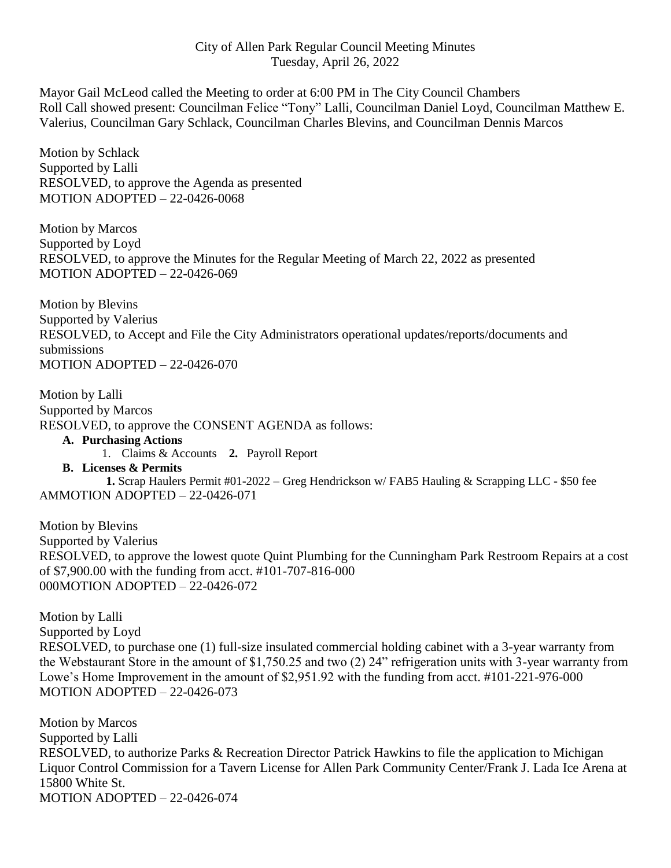Mayor Gail McLeod called the Meeting to order at 6:00 PM in The City Council Chambers Roll Call showed present: Councilman Felice "Tony" Lalli, Councilman Daniel Loyd, Councilman Matthew E. Valerius, Councilman Gary Schlack, Councilman Charles Blevins, and Councilman Dennis Marcos

Motion by Schlack Supported by Lalli RESOLVED, to approve the Agenda as presented MOTION ADOPTED – 22-0426-0068

Motion by Marcos Supported by Loyd RESOLVED, to approve the Minutes for the Regular Meeting of March 22, 2022 as presented MOTION ADOPTED – 22-0426-069

Motion by Blevins Supported by Valerius RESOLVED, to Accept and File the City Administrators operational updates/reports/documents and submissions MOTION ADOPTED – 22-0426-070

Motion by Lalli Supported by Marcos RESOLVED, to approve the CONSENT AGENDA as follows:

- **A. Purchasing Actions**
	- 1. Claims & Accounts **2.** Payroll Report
- **B. Licenses & Permits**

 **1.** Scrap Haulers Permit #01-2022 – Greg Hendrickson w/ FAB5 Hauling & Scrapping LLC - \$50 fee AMMOTION ADOPTED – 22-0426-071

Motion by Blevins Supported by Valerius RESOLVED, to approve the lowest quote Quint Plumbing for the Cunningham Park Restroom Repairs at a cost of \$7,900.00 with the funding from acct. #101-707-816-000 000MOTION ADOPTED – 22-0426-072

Motion by Lalli Supported by Loyd RESOLVED, to purchase one (1) full-size insulated commercial holding cabinet with a 3-year warranty from the Webstaurant Store in the amount of \$1,750.25 and two (2) 24" refrigeration units with 3-year warranty from Lowe's Home Improvement in the amount of \$2,951.92 with the funding from acct. #101-221-976-000 MOTION ADOPTED – 22-0426-073

Motion by Marcos Supported by Lalli RESOLVED, to authorize Parks & Recreation Director Patrick Hawkins to file the application to Michigan Liquor Control Commission for a Tavern License for Allen Park Community Center/Frank J. Lada Ice Arena at 15800 White St. MOTION ADOPTED – 22-0426-074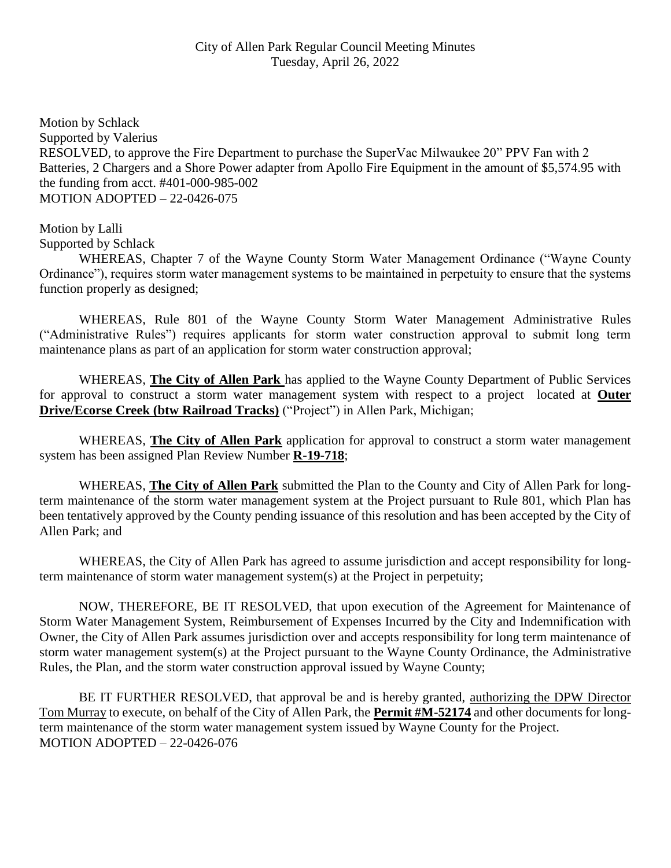Motion by Schlack Supported by Valerius RESOLVED, to approve the Fire Department to purchase the SuperVac Milwaukee 20" PPV Fan with 2 Batteries, 2 Chargers and a Shore Power adapter from Apollo Fire Equipment in the amount of \$5,574.95 with the funding from acct. #401-000-985-002 MOTION ADOPTED – 22-0426-075

## Motion by Lalli

Supported by Schlack

WHEREAS, Chapter 7 of the Wayne County Storm Water Management Ordinance ("Wayne County Ordinance"), requires storm water management systems to be maintained in perpetuity to ensure that the systems function properly as designed;

WHEREAS, Rule 801 of the Wayne County Storm Water Management Administrative Rules ("Administrative Rules") requires applicants for storm water construction approval to submit long term maintenance plans as part of an application for storm water construction approval;

WHEREAS, **The City of Allen Park** has applied to the Wayne County Department of Public Services for approval to construct a storm water management system with respect to a project located at **Outer Drive/Ecorse Creek (btw Railroad Tracks)** ("Project") in Allen Park, Michigan;

WHEREAS, **The City of Allen Park** application for approval to construct a storm water management system has been assigned Plan Review Number **R-19-718**;

WHEREAS, **The City of Allen Park** submitted the Plan to the County and City of Allen Park for longterm maintenance of the storm water management system at the Project pursuant to Rule 801, which Plan has been tentatively approved by the County pending issuance of this resolution and has been accepted by the City of Allen Park; and

WHEREAS, the City of Allen Park has agreed to assume jurisdiction and accept responsibility for longterm maintenance of storm water management system(s) at the Project in perpetuity;

NOW, THEREFORE, BE IT RESOLVED, that upon execution of the Agreement for Maintenance of Storm Water Management System, Reimbursement of Expenses Incurred by the City and Indemnification with Owner, the City of Allen Park assumes jurisdiction over and accepts responsibility for long term maintenance of storm water management system(s) at the Project pursuant to the Wayne County Ordinance, the Administrative Rules, the Plan, and the storm water construction approval issued by Wayne County;

BE IT FURTHER RESOLVED, that approval be and is hereby granted, authorizing the DPW Director Tom Murray to execute, on behalf of the City of Allen Park, the **Permit #M-52174** and other documents for longterm maintenance of the storm water management system issued by Wayne County for the Project. MOTION ADOPTED – 22-0426-076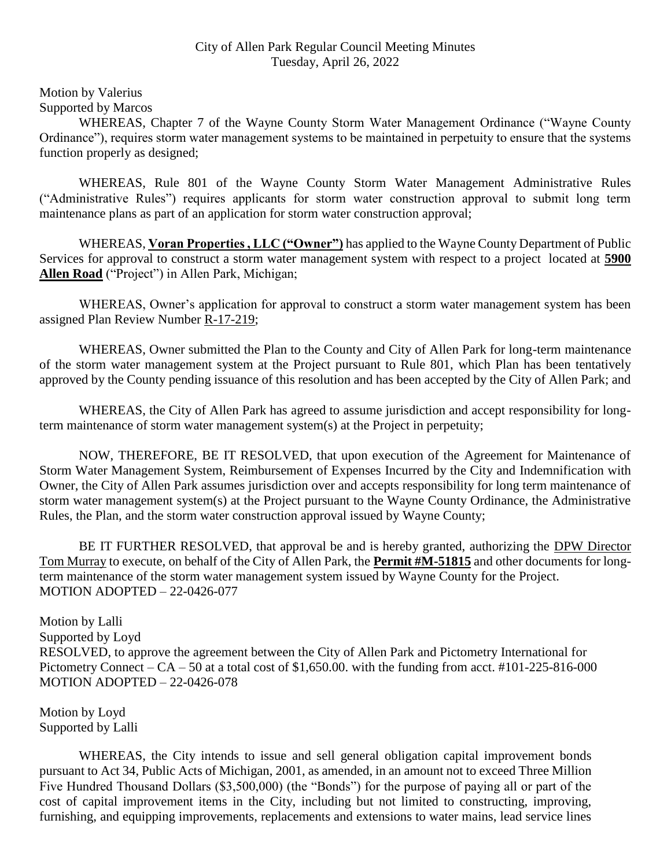Motion by Valerius Supported by Marcos

WHEREAS, Chapter 7 of the Wayne County Storm Water Management Ordinance ("Wayne County Ordinance"), requires storm water management systems to be maintained in perpetuity to ensure that the systems function properly as designed;

WHEREAS, Rule 801 of the Wayne County Storm Water Management Administrative Rules ("Administrative Rules") requires applicants for storm water construction approval to submit long term maintenance plans as part of an application for storm water construction approval;

WHEREAS, **Voran Properties , LLC ("Owner")** has applied to the Wayne County Department of Public Services for approval to construct a storm water management system with respect to a project located at **5900 Allen Road** ("Project") in Allen Park, Michigan;

WHEREAS, Owner's application for approval to construct a storm water management system has been assigned Plan Review Number R-17-219;

WHEREAS, Owner submitted the Plan to the County and City of Allen Park for long-term maintenance of the storm water management system at the Project pursuant to Rule 801, which Plan has been tentatively approved by the County pending issuance of this resolution and has been accepted by the City of Allen Park; and

WHEREAS, the City of Allen Park has agreed to assume jurisdiction and accept responsibility for longterm maintenance of storm water management system(s) at the Project in perpetuity;

NOW, THEREFORE, BE IT RESOLVED, that upon execution of the Agreement for Maintenance of Storm Water Management System, Reimbursement of Expenses Incurred by the City and Indemnification with Owner, the City of Allen Park assumes jurisdiction over and accepts responsibility for long term maintenance of storm water management system(s) at the Project pursuant to the Wayne County Ordinance, the Administrative Rules, the Plan, and the storm water construction approval issued by Wayne County;

BE IT FURTHER RESOLVED, that approval be and is hereby granted, authorizing the DPW Director Tom Murray to execute, on behalf of the City of Allen Park, the **Permit #M-51815** and other documents for longterm maintenance of the storm water management system issued by Wayne County for the Project. MOTION ADOPTED – 22-0426-077

Motion by Lalli Supported by Loyd RESOLVED, to approve the agreement between the City of Allen Park and Pictometry International for Pictometry Connect –  $CA - 50$  at a total cost of \$1,650.00, with the funding from acct. #101-225-816-000 MOTION ADOPTED – 22-0426-078

Motion by Loyd Supported by Lalli

WHEREAS, the City intends to issue and sell general obligation capital improvement bonds pursuant to Act 34, Public Acts of Michigan, 2001, as amended, in an amount not to exceed Three Million Five Hundred Thousand Dollars (\$3,500,000) (the "Bonds") for the purpose of paying all or part of the cost of capital improvement items in the City, including but not limited to constructing, improving, furnishing, and equipping improvements, replacements and extensions to water mains, lead service lines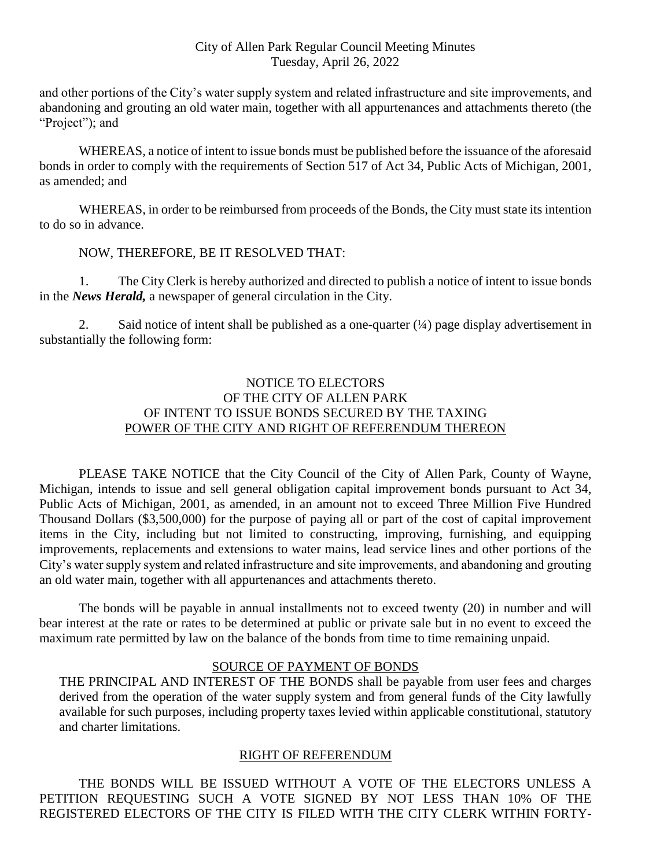and other portions of the City's water supply system and related infrastructure and site improvements, and abandoning and grouting an old water main, together with all appurtenances and attachments thereto (the "Project"); and

WHEREAS, a notice of intent to issue bonds must be published before the issuance of the aforesaid bonds in order to comply with the requirements of Section 517 of Act 34, Public Acts of Michigan, 2001, as amended; and

WHEREAS, in order to be reimbursed from proceeds of the Bonds, the City must state its intention to do so in advance.

### NOW, THEREFORE, BE IT RESOLVED THAT:

1. The City Clerk is hereby authorized and directed to publish a notice of intent to issue bonds in the *News Herald,* a newspaper of general circulation in the City.

2. Said notice of intent shall be published as a one-quarter  $(1/4)$  page display advertisement in substantially the following form:

## NOTICE TO ELECTORS OF THE CITY OF ALLEN PARK OF INTENT TO ISSUE BONDS SECURED BY THE TAXING POWER OF THE CITY AND RIGHT OF REFERENDUM THEREON

PLEASE TAKE NOTICE that the City Council of the City of Allen Park, County of Wayne, Michigan, intends to issue and sell general obligation capital improvement bonds pursuant to Act 34, Public Acts of Michigan, 2001, as amended, in an amount not to exceed Three Million Five Hundred Thousand Dollars (\$3,500,000) for the purpose of paying all or part of the cost of capital improvement items in the City, including but not limited to constructing, improving, furnishing, and equipping improvements, replacements and extensions to water mains, lead service lines and other portions of the City's water supply system and related infrastructure and site improvements, and abandoning and grouting an old water main, together with all appurtenances and attachments thereto.

The bonds will be payable in annual installments not to exceed twenty (20) in number and will bear interest at the rate or rates to be determined at public or private sale but in no event to exceed the maximum rate permitted by law on the balance of the bonds from time to time remaining unpaid.

#### SOURCE OF PAYMENT OF BONDS

THE PRINCIPAL AND INTEREST OF THE BONDS shall be payable from user fees and charges derived from the operation of the water supply system and from general funds of the City lawfully available for such purposes, including property taxes levied within applicable constitutional, statutory and charter limitations.

## RIGHT OF REFERENDUM

THE BONDS WILL BE ISSUED WITHOUT A VOTE OF THE ELECTORS UNLESS A PETITION REQUESTING SUCH A VOTE SIGNED BY NOT LESS THAN 10% OF THE REGISTERED ELECTORS OF THE CITY IS FILED WITH THE CITY CLERK WITHIN FORTY-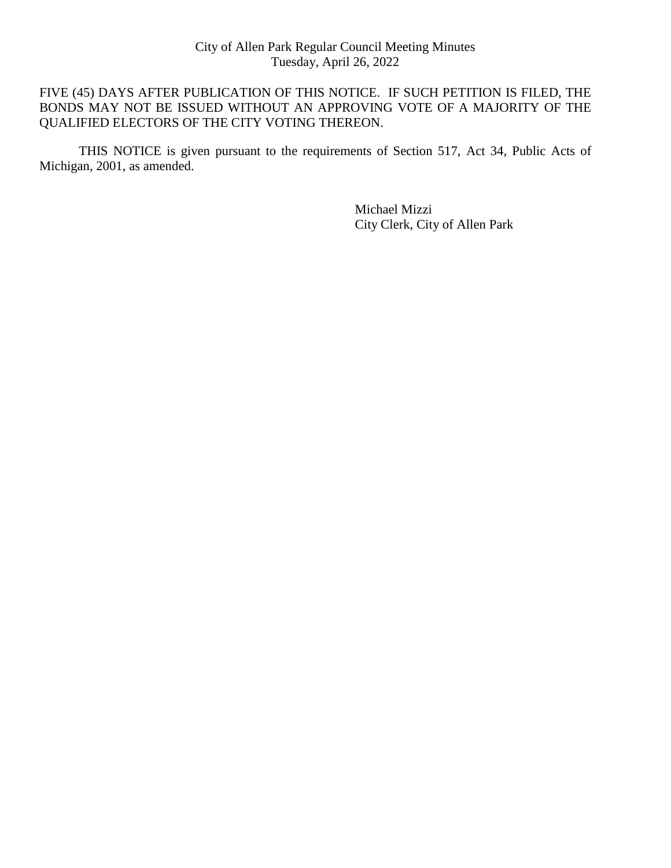## FIVE (45) DAYS AFTER PUBLICATION OF THIS NOTICE. IF SUCH PETITION IS FILED, THE BONDS MAY NOT BE ISSUED WITHOUT AN APPROVING VOTE OF A MAJORITY OF THE QUALIFIED ELECTORS OF THE CITY VOTING THEREON.

THIS NOTICE is given pursuant to the requirements of Section 517, Act 34, Public Acts of Michigan, 2001, as amended.

> Michael Mizzi City Clerk, City of Allen Park